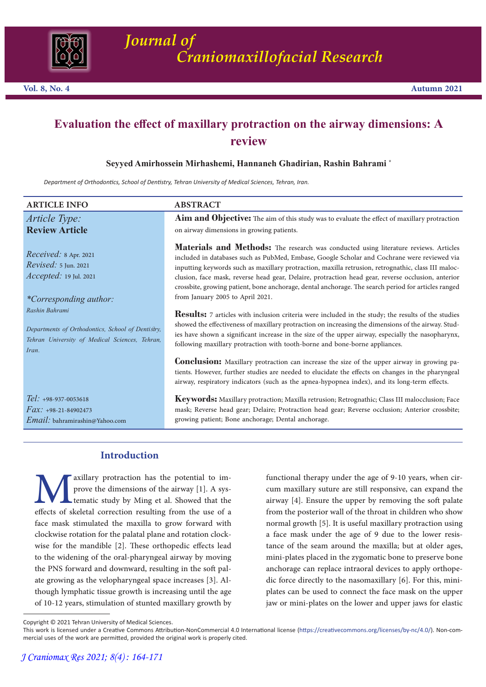

# **Evaluation the effect of maxillary protraction on the airway dimensions: A review**

# **Seyyed Amirhossein Mirhashemi, Hannaneh Ghadirian, Rashin Bahrami \***

*Department of Orthodontics, School of Dentistry, Tehran University of Medical Sciences, Tehran, Iran.*

| <b>ARTICLE INFO</b>                                                                                                            | <b>ABSTRACT</b>                                                                                                                                                                                                                                                                                                                                                                                                                                                                                                                             |
|--------------------------------------------------------------------------------------------------------------------------------|---------------------------------------------------------------------------------------------------------------------------------------------------------------------------------------------------------------------------------------------------------------------------------------------------------------------------------------------------------------------------------------------------------------------------------------------------------------------------------------------------------------------------------------------|
| Article Type:<br><b>Review Article</b>                                                                                         | Aim and Objective: The aim of this study was to evaluate the effect of maxillary protraction<br>on airway dimensions in growing patients.                                                                                                                                                                                                                                                                                                                                                                                                   |
| $Received: 8$ Apr. 2021<br><i>Revised:</i> 5 Jun. 2021<br><i>Accepted:</i> 19 Jul. 2021<br><i>*Corresponding author:</i>       | Materials and Methods: The research was conducted using literature reviews. Articles<br>included in databases such as PubMed, Embase, Google Scholar and Cochrane were reviewed via<br>inputting keywords such as maxillary protraction, maxilla retrusion, retrognathic, class III maloc-<br>clusion, face mask, reverse head gear, Delaire, protraction head gear, reverse occlusion, anterior<br>crossbite, growing patient, bone anchorage, dental anchorage. The search period for articles ranged<br>from January 2005 to April 2021. |
| Rashin Bahrami<br>Departments of Orthodontics, School of Dentistry,<br>Tehran University of Medical Sciences, Tehran,<br>Iran. | <b>Results:</b> 7 articles with inclusion criteria were included in the study; the results of the studies<br>showed the effectiveness of maxillary protraction on increasing the dimensions of the airway. Stud-<br>ies have shown a significant increase in the size of the upper airway, especially the nasopharynx,<br>following maxillary protraction with tooth-borne and bone-borne appliances.                                                                                                                                       |
|                                                                                                                                | <b>Conclusion:</b> Maxillary protraction can increase the size of the upper airway in growing pa-<br>tients. However, further studies are needed to elucidate the effects on changes in the pharyngeal<br>airway, respiratory indicators (such as the apnea-hypopnea index), and its long-term effects.                                                                                                                                                                                                                                     |
| Tel: +98-937-0053618<br>$Fax: +98-21-84902473$<br>Email: bahramirashin@Yahoo.com                                               | <b>Keywords:</b> Maxillary protraction; Maxilla retrusion; Retrognathic; Class III malocclusion; Face<br>mask; Reverse head gear; Delaire; Protraction head gear; Reverse occlusion; Anterior crossbite;<br>growing patient; Bone anchorage; Dental anchorage.                                                                                                                                                                                                                                                                              |
|                                                                                                                                |                                                                                                                                                                                                                                                                                                                                                                                                                                                                                                                                             |

# **Introduction**

**Maxillary protraction has the potential to improve the dimensions of the airway** [1]. A systematic study by Ming et al. Showed that the effects of skeletal correction resulting from the use of a face mask stimulated the m prove the dimensions of the airway [1]. A systematic study by Ming et al. Showed that the effects of skeletal correction resulting from the use of a clockwise rotation for the palatal plane and rotation clock- wise for the mandible [2]. These orthopedic effects lead to the widening of the oral-pharyngeal airway by moving the PNS forward and downward, resulting in the soft palate growing as the velopharyngeal space increases [3]. Although lymphatic tissue growth is increasing until the age of 10-12 years, stimulation of stunted maxillary growth by

functional therapy under the age of 9-10 years, when circum maxillary suture are still responsive, can expand the airway [4]. Ensure the upper by removing the soft palate from the posterior wall of the throat in children who show normal growth [5]. It is useful maxillary protraction using<br>a face mask under the age of 9 due to the lower resistance of the seam around the maxilla; but at older ages, mini-plates placed in the zygomatic bone to preserve bone anchorage can replace intraoral devices to apply orthopedic force directly to the nasomaxillary [6]. For this, miniplates can be used to connect the face mask on the upper jaw or mini-plates on the lower and upper jaws for elastic

Copyright © 2021 Tehran University of Medical Sciences.

This work is licensed under a Creative Commons Attribution-NonCommercial 4.0 International license (https://creativecommons.org/licenses/by-nc/4.0/). Non-commercial uses of the work are permitted, provided the original work is properly cited.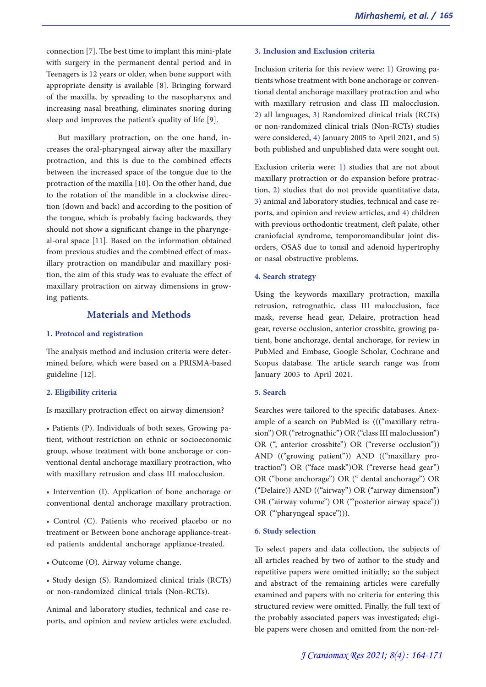connection [7]. The best time to implant this mini-plate with surgery in the permanent dental period and in Teenagers is 12 years or older, when bone support with appropriate density is available [8]. Bringing forward of the maxilla, by spreading to the nasopharynx and increasing nasal breathing, eliminates snoring during sleep and improves the patient's quality of life [9].

But maxillary protraction, on the one hand, increases the oral-pharyngeal airway after the maxillary protraction, and this is due to the combined effects between the increased space of the tongue due to the protraction of the maxilla [10]. On the other hand, due to the rotation of the mandible in a clockwise direction (down and back) and according to the position of the tongue, which is probably facing backwards, they should not show a significant change in the pharyngeal-oral space [11]. Based on the information obtained from previous studies and the combined effect of maxillary protraction on mandibular and maxillary posi- tion, the aim of this study was to evaluate the effect of maxillary protraction on airway dimensions in growing patients.

# **Materials and Methods**

#### **1. Protocol and registration**

The analysis method and inclusion criteria were determined before, which were based on a PRISMA-based guideline [12].

### **2. Eligibility criteria**

Is maxillary protraction effect on airway dimension?

• Patients (P). Individuals of both sexes, Growing patient, without restriction on ethnic or socioeconomic group, whose treatment with bone anchorage or conventional dental anchorage maxillary protraction, who with maxillary retrusion and class III malocclusion.

• Intervention (I). Application of bone anchorage or conventional dental anchorage maxillary protraction.

• Control (C). Patients who received placebo or no treatment or Between bone anchorage appliance-treated patients anddental anchorage appliance-treated.

• Outcome (O). Airway volume change.

• Study design (S). Randomized clinical trials (RCTs) or non-randomized clinical trials (Non-RCTs).

Animal and laboratory studies, technical and case reports, and opinion and review articles were excluded.

# **3. Inclusion and Exclusion criteria**

Inclusion criteria for this review were: 1) Growing patients whose treatment with bone anchorage or conventional dental anchorage maxillary protraction and who with maxillary retrusion and class III malocclusion. 2) all languages, 3) Randomized clinical trials (RCTs) or non-randomized clinical trials (Non-RCTs) studies were considered, 4) January 2005 to April 2021, and 5) both published and unpublished data were sought out.

Exclusion criteria were: 1) studies that are not about maxillary protraction or do expansion before protraction, 2) studies that do not provide quantitative data, 3) animal and laboratory studies, technical and case reports, and opinion and review articles, and 4) children with previous orthodontic treatment, cleft palate, other craniofacial syndrome, temporomandibular joint dis- orders, OSAS due to tonsil and adenoid hypertrophy or nasal obstructive problems.

#### **4. Search strategy**

Using the keywords maxillary protraction, maxilla retrusion, retrognathic, class III malocclusion, face mask, reverse head gear, Delaire, protraction head gear, reverse occlusion, anterior crossbite, growing patient, bone anchorage, dental anchorage, for review in PubMed and Embase, Google Scholar, Cochrane and Scopus database. The article search range was from January 2005 to April 2021.

#### **5. Search**

Searches were tailored to the specific databases. Anexample of a search on PubMed is: ((("maxillary retrusion") OR ("retrognathic") OR ("class III maloclussion") OR (", anterior crossbite") OR ("reverse occlusion")) AND (("growing patient")) AND (("maxillary protraction") OR ("face mask")OR ("reverse head gear") OR ("bone anchorage") OR (" dental anchorage") OR ("Delaire)) AND (("airway") OR ("airway dimension") OR ("airway volume") OR ("'posterior airway space")) OR ("'pharyngeal space"))).

#### **6. Study selection**

To select papers and data collection, the subjects of all articles reached by two of author to the study and repetitive papers were omitted initially; so the subject and abstract of the remaining articles were carefully examined and papers with no criteria for entering this structured review were omitted. Finally, the full text of the probably associated papers was investigated; eligible papers were chosen and omitted from the non-rel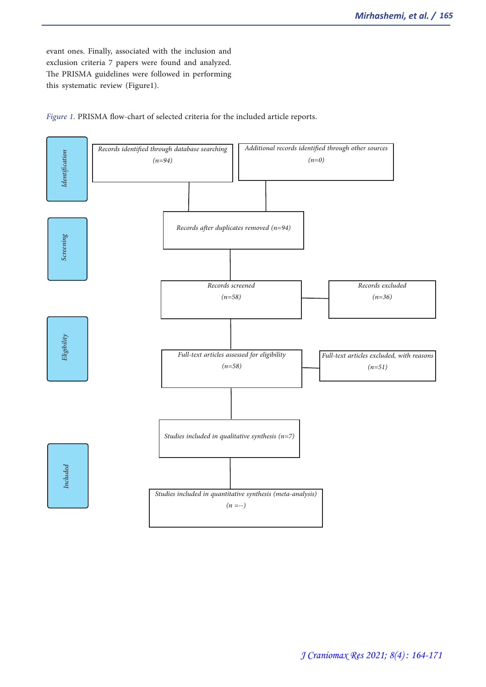evant ones. Finally, associated with the inclusion and exclusion criteria 7 papers were found and analyzed. The PRISMA guidelines were followed in performing this systematic review (Figure1).



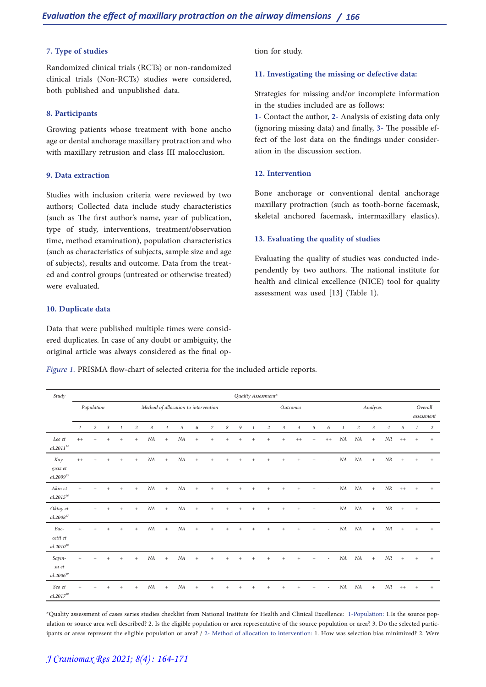## **7. Type of studies**

Randomized clinical trials (RCTs) or non-randomized clinical trials (Non-RCTs) studies were considered, both published and unpublished data.

#### **8. Participants**

Growing patients whose treatment with bone ancho age or dental anchorage maxillary protraction and who with maxillary retrusion and class III malocclusion.

### **9. Data extraction**

Studies with inclusion criteria were reviewed by two authors; Collected data include study characteristics (such as The first author's name, year of publication, type of study, interventions, treatment/observation time, method examination), population characteristics (such as characteristics of subjects, sample size and age of subjects), results and outcome. Data from the treat- ed and control groups (untreated or otherwise treated) were evaluated.

## **10. Duplicate data**

Data that were published multiple times were considered duplicates. In case of any doubt or ambiguity, the original article was always considered as the final op-

*Figure 1.* PRISMA flow-chart of selected criteria for the included article reports.

*Study Quality Assessment\* Population Method of allocation to intervention Outcomes Analyses Overall assessment 1 2 3 1 2 3 4 5 6 7 8 9 1 2 3 4 5 6 1 2 3 4 5 1 2 Lee et al.201114 ++ + + + + NA + NA + + + + + + + ++ + ++ NA NA + NR ++ + + Kaygısız et al.2009* ++ + + + + NA + NA + + + + + + + + + + - NA NA + NR + + + *Akin et al.201516* + + + + + NA + NA + + + + + + + + + + - NA NA + NR ++ + + *Oktay et al.2008<sup>1</sup>* - + + + +  $NA$  +  $NA$  + + + + + + + + + + +  $\cdot$   $MA$   $NA$  +  $NR$  + +  $\cdot$ *Baccetti et al.201018 + + + + + NA + NA + + + + + + + + + - NA NA + NR + + + Sayınsu et al.2006* + + + + + NA + NA + + + + + + + + + + - NA NA + NR + + + *Seo et al.* 2017<sup>2</sup> + + + + + NA + NA + + + + + + + + + + - NA NA + NR ++ + +

\*Quality assessment of cases series studies checklist from National Institute for Health and Clinical Excellence: 1-Population: 1.Is the source population or source area well described? 2. Is the eligible population or area representative of the source population or area? 3. Do the selected participants or areas represent the eligible population or area? / 2- Method of allocation to intervention: 1. How was selection bias minimized? 2. Were

tion for study.

#### **11. Investigating the missing or defective data:**

Strategies for missing and/or incomplete information in the studies included are as follows:

**1-** Contact the author, **2-** Analysis of existing data only (ignoring missing data) and finally, **3-** The possible effect of the lost data on the findings under consideration in the discussion section.

#### **12. Intervention**

Bone anchorage or conventional dental anchorage maxillary protraction (such as tooth-borne facemask, skeletal anchored facemask, intermaxillary elastics).

#### **13. Evaluating the quality of studies**

Evaluating the quality of studies was conducted inde- pendently by two authors. The national institute for health and clinical excellence (NICE) tool for quality assessment was used [13] (Table 1).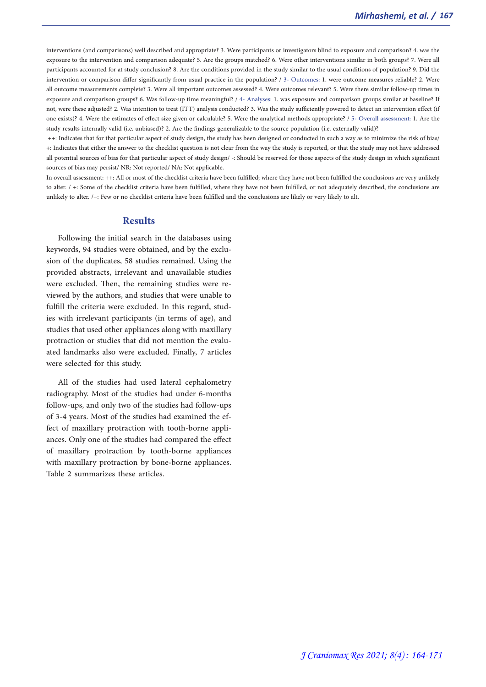interventions (and comparisons) well described and appropriate? 3. Were participants or investigators blind to exposure and comparison? 4. was the exposure to the intervention and comparison adequate? 5. Are the groups matched? 6. Were other interventions similar in both groups? 7. Were all participants accounted for at study conclusion? 8. Are the conditions provided in the study similar to the usual conditions of population? 9. Did the intervention or comparison differ significantly from usual practice in the population? / 3- Outcomes: 1. were outcome measures reliable? 2. Were all outcome measurements complete? 3. Were all important outcomes assessed? 4. Were outcomes relevant? 5. Were there similar follow-up times in exposure and comparison groups? 6. Was follow-up time meaningful? / 4- Analyses: 1. was exposure and comparison groups similar at baseline? If not, were these adjusted? 2. Was intention to treat (ITT) analysis conducted? 3. Was the study sufficiently powered to detect an intervention effect (if one exists)? 4. Were the estimates of effect size given or calculable? 5. Were the analytical methods appropriate? / 5- Overall assessment: 1. Are the study results internally valid (i.e. unbiased)? 2. Are the findings generalizable to the source population (i.e. externally valid)?

 ++: Indicates that for that particular aspect of study design, the study has been designed or conducted in such a way as to minimize the risk of bias/ +: Indicates that either the answer to the checklist question is not clear from the way the study is reported, or that the study may not have addressed all potential sources of bias for that particular aspect of study design/ -: Should be reserved for those aspects of the study design in which significant sources of bias may persist/ NR: Not reported/ NA: Not applicable.

In overall assessment: ++: All or most of the checklist criteria have been fulfilled; where they have not been fulfilled the conclusions are very unlikely to alter. / +: Some of the checklist criteria have been fulfilled, where they have not been fulfilled, or not adequately described, the conclusions are unlikely to alter. /−: Few or no checklist criteria have been fulfilled and the conclusions are likely or very likely to alt.

## **Results**

Following the initial search in the databases using keywords, 94 studies were obtained, and by the exclusion of the duplicates, 58 studies remained. Using the provided abstracts, irrelevant and unavailable studies were excluded. Then, the remaining studies were re- viewed by the authors, and studies that were unable to fulfill the criteria were excluded. In this regard, stud-<br>ies with irrelevant participants (in terms of age), and studies that used other appliances along with maxillary protraction or studies that did not mention the evaluated landmarks also were excluded. Finally, 7 articles were selected for this study.

All of the studies had used lateral cephalometry radiography. Most of the studies had under 6-months follow-ups, and only two of the studies had follow-ups fect of maxillary protraction with tooth-borne appli-<br>ances. Only one of the studies had compared the effect of maxillary protraction by tooth-borne appliances with maxillary protraction by bone-borne appliances. Table 2 summarizes these articles.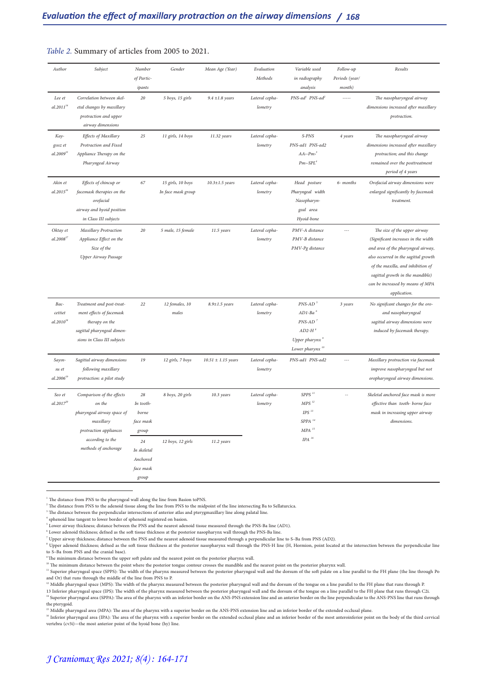## *Table 2.* Summary of articles from 2005 to 2021.

| Author                             | Subject                                                                                                                                              | Number<br>of Partic-<br>ipants                                                                        | Gender                                  | Mean Age (Year)          | Evaluation<br>Methods     | Variable used<br>in radiography<br>analysis                                                                                                                                                                           | Follow-up<br>Periods (year/<br>month) | Results                                                                                                                                                                                                                                                                        |
|------------------------------------|------------------------------------------------------------------------------------------------------------------------------------------------------|-------------------------------------------------------------------------------------------------------|-----------------------------------------|--------------------------|---------------------------|-----------------------------------------------------------------------------------------------------------------------------------------------------------------------------------------------------------------------|---------------------------------------|--------------------------------------------------------------------------------------------------------------------------------------------------------------------------------------------------------------------------------------------------------------------------------|
| Lee et<br>$al.2011^{14}$           | Correlation between skel-<br>etal changes by maxillary<br>protraction and upper<br>airway dimensions                                                 | 20                                                                                                    | 5 boys, 15 girls                        | $9.4 \pm 1.8$ years      | Lateral cepha-<br>lometry | PNS-ad <sup>1</sup> PNS-ad <sup>2</sup>                                                                                                                                                                               |                                       | The nasopharyngeal airway<br>dimensions increased after maxillary<br>protraction.                                                                                                                                                                                              |
| Kay-<br>gisiz et<br>$al.2009^{15}$ | Effects of Maxillary<br>Protraction and Fixed<br>Appliance Therapy on the<br>Pharyngeal Airway                                                       | 25                                                                                                    | 11 girls, 14 boys                       | 11.32 years              | Lateral cepha-<br>lometry | S-PNS<br>PNS-ad1 PNS-ad2<br>$AA~-Pm^3$<br>$Pm$ -SPL <sup>4</sup>                                                                                                                                                      | 4 years                               | The nasopharyngeal airway<br>dimensions increased after maxillary<br>protraction; and this change<br>remained over the posttreatment<br>period of 4 years                                                                                                                      |
| Akin et<br>$al.2015^{16}$          | Effects of chincup or<br>facemask therapies on the<br>orofacial<br>airway and hyoid position<br>in Class III subjects                                | 67                                                                                                    | 15 girls, 10 boys<br>In face mask group | $10.3 \pm 1.5$ years     | Lateral cepha-<br>lometry | Head posture<br>Pharyngeal width<br>Nasopharyn-<br>geal area<br>Hyoid-bone                                                                                                                                            | 6- months                             | Orofacial airway dimensions were<br>enlarged significantly by facemask<br>treatment.                                                                                                                                                                                           |
| Oktay et<br>$al.2008^{17}$         | Maxillary Protraction<br>Appliance Effect on the<br>Size of the<br>Upper Airway Passage                                                              | 20                                                                                                    | 5 male, 15 female                       | 11.5 years               | Lateral cepha-<br>lometry | PMV-A distance<br>PMV-B distance<br>PMV-Pg distance                                                                                                                                                                   |                                       | The size of the upper airway<br>(Significant increases in the width<br>and area of the pharyngeal airway,<br>also occurred in the sagittal growth<br>of the maxilla, and inhibition of<br>sagittal growth in the mandible)<br>can be increased by means of MPA<br>application. |
| Bac-<br>cettiet<br>$al.2010^{18}$  | Treatment and post-treat-<br>ment effects of facemask<br>therapy on the<br>sagittal pharyngeal dimen-<br>sions in Class III subjects                 | 22                                                                                                    | 12 females, 10<br>males                 | $8.9 \pm 1.5$ years      | Lateral cepha-<br>lometry | $PNS-AD$ <sup>5</sup><br>$AD1-Ba$ <sup>6</sup><br>$PNS-AD$ <sup>7</sup><br>$AD2-H$ <sup>8</sup><br>Upper pharynx <sup>9</sup><br>Lower pharynx <sup>10</sup>                                                          | 3 years                               | No signifcant changes for the oro-<br>and nasopharyngeal<br>sagittal airway dimensions were<br>induced by facemask therapy.                                                                                                                                                    |
| Sayın-<br>su et<br>$al.2006^{19}$  | Sagittal airway dimensions<br>following maxillary<br>protraction: a pilot study                                                                      | 19                                                                                                    | 12 girls, 7 boys                        | $10.51 \pm 1.15$ years   | Lateral cepha-<br>lometry | PNS-ad1 PNS-ad2                                                                                                                                                                                                       | $\sim$                                | Maxillary protraction via facemask<br>improve nasopharyngeal but not<br>oropharyngeal airway dimensions.                                                                                                                                                                       |
| Seo et<br>$al.2017^{20}$           | Comparison of the effects<br>on the<br>pharyngeal airway space of<br>maxillary<br>protraction appliances<br>according to the<br>methods of anchorage | 28<br>In tooth-<br>borne<br>face mask<br>group<br>24<br>In skeletal<br>Anchored<br>face mask<br>group | 8 boys, 20 girls<br>12 boys, 12 girls   | 10.3 years<br>11.2 years | Lateral cepha-<br>lometry | ${\it SPPS}$ $^{11}$<br>$MPS$ $^{\scriptscriptstyle 12}$<br>$\mathit{IPS} \ ^{13}$<br>$\mbox{\it SPPA}$ $^{\scriptscriptstyle 14}$<br>$\mathit{MPA}\ ^{\scriptscriptstyle 15}$<br>$\ensuremath{\textit{IPA}}$ $^{16}$ |                                       | Skeletal anchored face mask is more<br>effective than tooth- borne face<br>mask in increasing upper airway<br>dimensions.                                                                                                                                                      |

<sup>&</sup>lt;sup>1</sup> The distance from PNS to the pharyngeal wall along the line from Basion toPNS.

 $3$  The distance between the perpendicular intersections of anterior atlas and pterygmaxillary line along palatal line.

 $^{\rm 4}$  sphenoid line tangent to lower border of sphenoid registered on basion.

 $^{\circ}$  Lower adenoid thickness; defned as the soft tissue thickness at the posterior nasopharynx wall through the PNS-Ba line.<br><sup>7</sup> Upper airway thickness; distance between the PNS and the nearest adenoid tissue measured t

 $8\sigma$  Upper adenoid thickness; defned as the soft tissue thickness at the posterior nasopharynx wall through the PNS-H line (H, Hormion, point located at the intersection between the perpendicular line to S–Ba from PNS and the cranial base).

<sup>9</sup> The minimum distance between the upper soft palate and the nearest point on the posterior pharynx wall.

 $^{\rm 10}$  The minimum distance between the point where the posterior tongue contour crosses the mandible and the nearest point on the posterior pharynx wall.

<sup>11</sup> Superior pharyngeal space (SPPS): The width of the pharynx measured between the posterior pharyngeal wall and the dorsum of the soft palate on a line parallel to the FH plane (the line through Po and Or) that runs through the middle of the line from PNS to P.

<sup>12</sup> Middle pharyngeal space (MPS): The width of the pharynx measured between the posterior pharyngeal wall and the dorsum of the tongue on a line parallel to the FH plane that runs through P.

13 Inferior pharyngeal space (IPS): The width of the pharynx measured between the posterior pharyngeal wall and the dorsum of the tongue on a line parallel to the FH plane that runs through C2i. <sup>14</sup> Superior pharyngeal area (SPPA): The area of the pharynx with an inferior border on the ANS-PNS extension line and an anterior border on the line perpendicular to the ANS-PNS line that runs through the pterygoid.

 $^{15}$  Middle pharyngeal area (MPA): The area of the pharynx with a superior border on the ANS-PNS extension line and an inferior border of the extended occlusal plane.

<sup>16</sup> Inferior pharyngeal area (IPA): The area of the pharynx with a superior border on the extended occlusal plane and an inferior border of the most anteroinferior point on the body of the third cervical vertebra (cv3i)—the most anterior point of the hyoid bone (hy) line.

 $2^2$  The distance from PNS to the adenoid tissue along the line from PNS to the midpoint of the line intersecting Ba to Sellaturcica.

 $^5$  Lower airway thickness; distance between the PNS and the nearest adenoid tissue measured through the PNS-Ba line (AD1).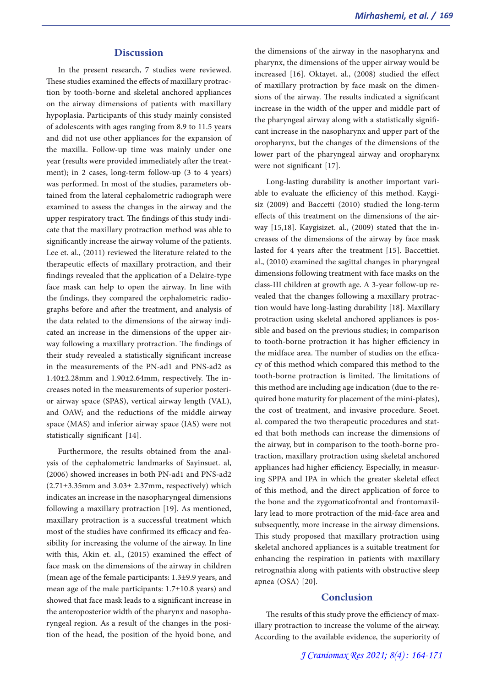## **Discussion**

In the present research, 7 studies were reviewed. These studies examined the effects of maxillary protrac- tion by tooth-borne and skeletal anchored appliances on the airway dimensions of patients with maxillary hypoplasia. Participants of this study mainly consisted of adolescents with ages ranging from 8.9 to 11.5 years and did not use other appliances for the expansion of the maxilla. Follow-up time was mainly under one year (results were provided immediately after the treat- ment); in 2 cases, long-term follow-up (3 to 4 years) was performed. In most of the studies, parameters ob- tained from the lateral cephalometric radiograph were examined to assess the changes in the airway and the upper respiratory tract. The findings of this study indi- cate that the maxillary protraction method was able to significantly increase the airway volume of the patients. Lee et. al., (2011) reviewed the literature related to the therapeutic effects of maxillary protraction, and their findings revealed that the application of a Delaire-type face mask can help to open the airway. In line with the findings, they compared the cephalometric radio- graphs before and after the treatment, and analysis of the data related to the dimensions of the airway indicated an increase in the dimensions of the upper airway following a maxillary protraction. The findings of their study revealed a statistically significant increase in the measurements of the PN-ad1 and PNS-ad2 as 1.40±2.28mm and 1.90±2.64mm, respectively. The increases noted in the measurements of superior posterior airway space (SPAS), vertical airway length (VAL), and OAW; and the reductions of the middle airway space (MAS) and inferior airway space (IAS) were not statistically significant [14].

Furthermore, the results obtained from the analysis of the cephalometric landmarks of Sayinsuet. al, (2006) showed increases in both PN-ad1 and PNS-ad2 (2.71±3.35mm and 3.03± 2.37mm, respectively) which indicates an increase in the nasopharyngeal dimensions following a maxillary protraction [19]. As mentioned, maxillary protraction is a successful treatment which most of the studies have confirmed its efficacy and fea- sibility for increasing the volume of the airway. In line with this, Akin et. al., (2015) examined the effect of face mask on the dimensions of the airway in children (mean age of the female participants: 1.3±9.9 years, and mean age of the male participants: 1.7±10.8 years) and showed that face mask leads to a significant increase in the anteroposterior width of the pharynx and nasopha-<br>ryngeal region. As a result of the changes in the posi-<br>tion of the head, the position of the hyoid bone, and

the dimensions of the airway in the nasopharynx and pharynx, the dimensions of the upper airway would be increased [16]. Oktayet. al., (2008) studied the effect sions of the airway. The results indicated a significant increase in the width of the upper and middle part of the pharyngeal airway along with a statistically signifi- cant increase in the nasopharynx and upper part of the oropharynx, but the changes of the dimensions of the lower part of the pharyngeal airway and oropharynx were not significant [17].

Long-lasting durability is another important variable to evaluate the efficiency of this method. Kaygisiz (2009) and Baccetti (2010) studied the long-term effects of this treatment on the dimensions of the airway [15,18]. Kaygisizet. al., (2009) stated that the increases of the dimensions of the airway by face mask lasted for 4 years after the treatment [15]. Baccettiet. al., (2010) examined the sagittal changes in pharyngeal dimensions following treatment with face masks on the class-III children at growth age. A 3-year follow-up revealed that the changes following a maxillary protraction would have long-lasting durability [18]. Maxillary<br>protraction using skeletal anchored appliances is possible and based on the previous studies; in comparison to tooth-borne protraction it has higher efficiency in cy of this method which compared this method to the tooth-borne protraction is limited. The limitations of this method are including age indication (due to the required bone maturity for placement of the mini-plates), the cost of treatment, and invasive procedure. Seoet. al. compared the two therapeutic procedures and stated that both methods can increase the dimensions of the airway, but in comparison to the tooth-borne protraction, maxillary protraction using skeletal anchored appliances had higher efficiency. Especially, in measuring SPPA and IPA in which the greater skeletal effect of this method, and the direct application of force to the bone and the zygomaticofrontal and frontomaxil- lary lead to more protraction of the mid-face area and subsequently, more increase in the airway dimensions. This study proposed that maxillary protraction using skeletal anchored appliances is a suitable treatment for enhancing the respiration in patients with maxillary retrognathia along with patients with obstructive sleep apnea (OSA) [20].

### **Conclusion**

The results of this study prove the efficiency of maxillary protraction to increase the volume of the airway. According to the available evidence, the superiority of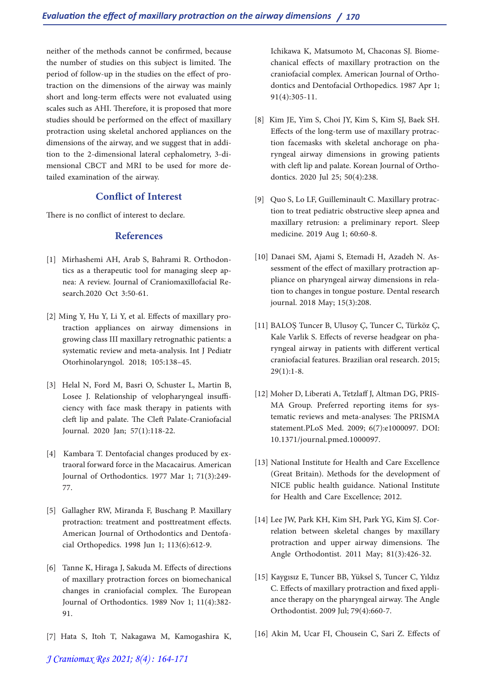neither of the methods cannot be confirmed, because the number of studies on this subject is limited. The traction on the dimensions of the airway was mainly short and long-term effects were not evaluated using scales such as AHI. Therefore, it is proposed that more studies should be performed on the effect of maxillary protraction using skeletal anchored appliances on the tion to the 2-dimensional lateral cephalometry, 3-dimensional CBCT and MRI to be used for more detailed examination of the airway.

# **Conflict of Interest**

There is no conflict of interest to declare.

# **References**

- [1] Mirhashemi AH, Arab S, Bahrami R. Orthodon- tics as a therapeutic tool for managing sleep ap- nea: A review. Journal of Craniomaxillofacial Re- search.2020 Oct 3:50-61.
- [2] Ming Y, Hu Y, Li Y, et al. Effects of maxillary pro- traction appliances on airway dimensions in growing class III maxillary retrognathic patients: a systematic review and meta-analysis. Int J Pediatr Otorhinolaryngol. 2018; 105:138–45.
- [3] Helal N, Ford M, Basri O, Schuster L, Martin B, Losee J. Relationship of velopharyngeal insufficiency with face mask therapy in patients with cleft lip and palate. The Cleft Palate-Craniofacial Journal. 2020 Jan; 57(1):118-22.
- [4] Kambara T. Dentofacial changes produced by ex- traoral forward force in the Macacairus. American Journal of Orthodontics. 1977 Mar 1; 71(3):249- 77.
- [5] Gallagher RW, Miranda F, Buschang P. Maxillary protraction: treatment and posttreatment effects. American Journal of Orthodontics and Dentofa-<br>cial Orthopedics. 1998 Jun 1; 113(6):612-9.
- [6] Tanne K, Hiraga J, Sakuda M. Effects of directions of maxillary protraction forces on biomechanical changes in craniofacial complex. The European Journal of Orthodontics. 1989 Nov 1; 11(4):382- 91.
- [7] Hata S, Itoh T, Nakagawa M, Kamogashira K,

Ichikawa K, Matsumoto M, Chaconas SJ. Biome-<br>chanical effects of maxillary protraction on the<br>craniofacial complex. American Journal of Orthodontics and Dentofacial Orthopedics. 1987 Apr 1; 91(4):305-11.

- [8] Kim JE, Yim S, Choi JY, Kim S, Kim SJ, Baek SH.<br>Effects of the long-term use of maxillary protraction facemasks with skeletal anchorage on pha-<br>ryngeal airway dimensions in growing patients with cleft lip and palate. Korean Journal of Ortho- dontics. 2020 Jul 25; 50(4):238.
- [9] Quo S, Lo LF, Guilleminault C. Maxillary protrac- tion to treat pediatric obstructive sleep apnea and maxillary retrusion: a preliminary report. Sleep medicine. 2019 Aug 1; 60:60-8.
- [10] Danaei SM, Ajami S, Etemadi H, Azadeh N. As- sessment of the effect of maxillary protraction appliance on pharyngeal airway dimensions in relation to changes in tongue posture. Dental research journal. 2018 May; 15(3):208.
- [11] BALOŞ Tuncer B, Ulusoy Ç, Tuncer C, Türköz Ç, Kale Varlik S. Effects of reverse headgear on pharyngeal airway in patients with different vertical craniofacial features. Brazilian oral research. 2015;  $29(1):1-8.$
- [12] Moher D, Liberati A, Tetzlaff J, Altman DG, PRIS-MA Group. Preferred reporting items for systematic reviews and meta-analyses: The PRISMA statement.PLoS Med. 2009; 6(7):e1000097. DOI: 10.1371/journal.pmed.1000097.
- [13] National Institute for Health and Care Excellence (Great Britain). Methods for the development of NICE public health guidance. National Institute for Health and Care Excellence; 2012.
- [14] Lee JW, Park KH, Kim SH, Park YG, Kim SJ. Cor- relation between skeletal changes by maxillary protraction and upper airway dimensions. The Angle Orthodontist. 2011 May; 81(3):426-32.
- [15] Kaygısız E, Tuncer BB, Yüksel S, Tuncer C, Yıldız C. Effects of maxillary protraction and fixed appliance therapy on the pharyngeal airway. The Angle Orthodontist. 2009 Jul; 79(4):660-7.
- [16] Akin M, Ucar FI, Chousein C, Sari Z. Effects of

*J Craniomax Res 2021; 8(4) : 164-171*